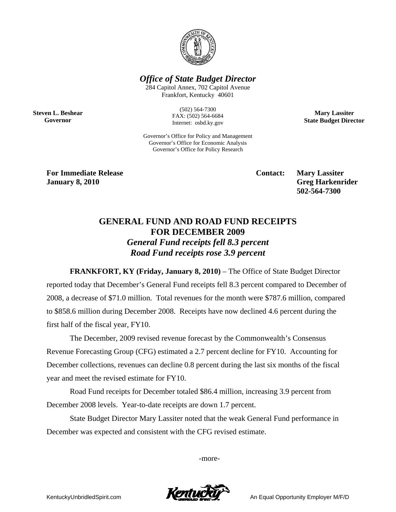

*Office of State Budget Director* 

284 Capitol Annex, 702 Capitol Avenue Frankfort, Kentucky 40601

**Steven L. Beshear Governor** 

(502) 564-7300 FAX: (502) 564-6684 Internet: osbd.ky.gov

Governor's Office for Policy and Management Governor's Office for Economic Analysis Governor's Office for Policy Research

**Mary Lassiter State Budget Director** 

**For Immediate Release Service Service Service Contact: Mary Lassiter January 8, 2010** Greg Harkenrider **Greg Harkenrider Greg Harkenrider Greg Harkenrider** 

 **502-564-7300** 

## **GENERAL FUND AND ROAD FUND RECEIPTS FOR DECEMBER 2009**  *General Fund receipts fell 8.3 percent Road Fund receipts rose 3.9 percent*

**FRANKFORT, KY (Friday, January 8, 2010)** – The Office of State Budget Director reported today that December's General Fund receipts fell 8.3 percent compared to December of 2008, a decrease of \$71.0 million. Total revenues for the month were \$787.6 million, compared to \$858.6 million during December 2008. Receipts have now declined 4.6 percent during the first half of the fiscal year, FY10.

The December, 2009 revised revenue forecast by the Commonwealth's Consensus Revenue Forecasting Group (CFG) estimated a 2.7 percent decline for FY10. Accounting for December collections, revenues can decline 0.8 percent during the last six months of the fiscal year and meet the revised estimate for FY10.

Road Fund receipts for December totaled \$86.4 million, increasing 3.9 percent from December 2008 levels. Year-to-date receipts are down 1.7 percent.

State Budget Director Mary Lassiter noted that the weak General Fund performance in December was expected and consistent with the CFG revised estimate.

-more-



KentuckyUnbridledSpirit.com **An Equal Opportunity Employer M/F/D**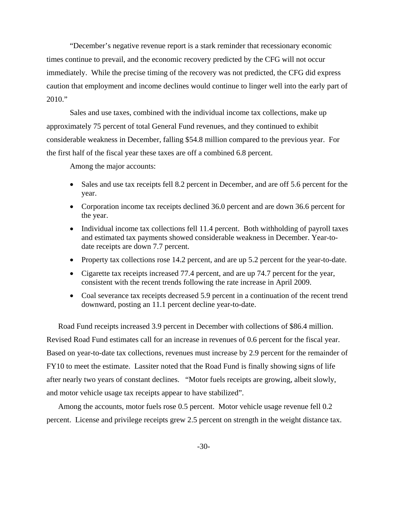"December's negative revenue report is a stark reminder that recessionary economic times continue to prevail, and the economic recovery predicted by the CFG will not occur immediately. While the precise timing of the recovery was not predicted, the CFG did express caution that employment and income declines would continue to linger well into the early part of 2010."

Sales and use taxes, combined with the individual income tax collections, make up approximately 75 percent of total General Fund revenues, and they continued to exhibit considerable weakness in December, falling \$54.8 million compared to the previous year. For the first half of the fiscal year these taxes are off a combined 6.8 percent.

Among the major accounts:

- Sales and use tax receipts fell 8.2 percent in December, and are off 5.6 percent for the year.
- Corporation income tax receipts declined 36.0 percent and are down 36.6 percent for the year.
- Individual income tax collections fell 11.4 percent. Both withholding of payroll taxes and estimated tax payments showed considerable weakness in December. Year-todate receipts are down 7.7 percent.
- Property tax collections rose 14.2 percent, and are up 5.2 percent for the year-to-date.
- Cigarette tax receipts increased 77.4 percent, and are up 74.7 percent for the year, consistent with the recent trends following the rate increase in April 2009.
- Coal severance tax receipts decreased 5.9 percent in a continuation of the recent trend downward, posting an 11.1 percent decline year-to-date.

Road Fund receipts increased 3.9 percent in December with collections of \$86.4 million. Revised Road Fund estimates call for an increase in revenues of 0.6 percent for the fiscal year. Based on year-to-date tax collections, revenues must increase by 2.9 percent for the remainder of FY10 to meet the estimate. Lassiter noted that the Road Fund is finally showing signs of life after nearly two years of constant declines. "Motor fuels receipts are growing, albeit slowly, and motor vehicle usage tax receipts appear to have stabilized".

Among the accounts, motor fuels rose 0.5 percent. Motor vehicle usage revenue fell 0.2 percent. License and privilege receipts grew 2.5 percent on strength in the weight distance tax.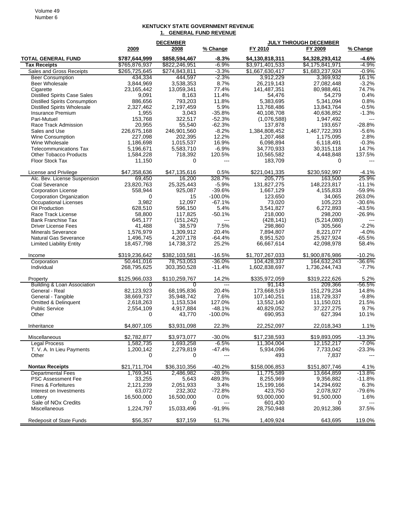## **KENTUCKY STATE GOVERNMENT REVENUE 1. GENERAL FUND REVENUE**

|                                      |                  | <b>DECEMBER</b>        |                      |                          | <b>JULY THROUGH DECEMBER</b> |                   |  |
|--------------------------------------|------------------|------------------------|----------------------|--------------------------|------------------------------|-------------------|--|
|                                      | 2009             | 2008                   | % Change             | FY 2010                  | FY 2009                      | % Change          |  |
| <b>TOTAL GENERAL FUND</b>            | \$787,644,999    | \$858,594,467          | $-8.3%$              | \$4,130,818,311          | \$4,328,293,412              | $-4.6%$           |  |
| <b>Tax Receipts</b>                  | \$765,876,937    | \$822,246,951          | $-6.9%$              | \$3,971,401,533          | \$4,175,841,971              | $-4.9%$           |  |
| Sales and Gross Receipts             | \$265,725,645    | \$274,843,811          | $-3.3%$              | \$1,667,630,417          | \$1,683,237,924              | $-0.9%$           |  |
| <b>Beer Consumption</b>              | 434,334          | 444,597                | $-2.3%$              | 3,912,229                | 3,369,932                    | 16.1%             |  |
| <b>Beer Wholesale</b>                | 3,844,969        | 3,538,353              | 8.7%                 | 26,219,143               | 27,082,448                   | $-3.2%$           |  |
| Cigarette                            | 23,165,442       | 13,059,341             | 77.4%                | 141,487,351              | 80,988,461                   | 74.7%             |  |
| <b>Distilled Spirits Case Sales</b>  | 9,091            | 8,163                  | 11.4%                | 54,476                   | 54,279                       | 0.4%              |  |
| <b>Distilled Spirits Consumption</b> | 886,656          | 793,203                | 11.8%                | 5,383,695                | 5,341,094                    | 0.8%              |  |
| <b>Distilled Spirits Wholesale</b>   | 2,327,462        | 2,197,459              | 5.9%                 | 13,768,486<br>40,108,708 | 13,843,764                   | $-0.5%$           |  |
| Insurance Premium<br>Pari-Mutuel     | 1,955<br>153,768 | 3,043<br>322,517       | $-35.8%$<br>$-52.3%$ | (1.076.588)              | 40,636,852<br>1.947.492      | $-1.3%$<br>$---$  |  |
| Race Track Admission                 | 20,955           | 55,540                 | $-62.3%$             | 137,878                  | 193,657                      | $-28.8%$          |  |
| Sales and Use                        | 226,675,168      | 246,901,560            | $-8.2%$              | 1,384,808,452            | 1,467,722,393                | $-5.6%$           |  |
| <b>Wine Consumption</b>              | 227,098          | 202,395                | 12.2%                | 1,207,468                | 1,175,095                    | 2.8%              |  |
| Wine Wholesale                       | 1,186,698        | 1,015,537              | 16.9%                | 6,098,894                | 6,118,491                    | $-0.3%$           |  |
| <b>Telecommunications Tax</b>        | 5,196,671        | 5,583,710              | $-6.9%$              | 34,770,933               | 30,315,118                   | 14.7%             |  |
| <b>Other Tobacco Products</b>        | 1,584,228        | 718,392                | 120.5%               | 10,565,582               | 4,448,848                    | 137.5%            |  |
| <b>Floor Stock Tax</b>               | 11,150           | 0                      | $---$                | 183,709                  | 0                            |                   |  |
| License and Privilege                | \$47,358,636     | \$47,135,616           | 0.5%                 | \$221,041,335            | \$230.592.997                | $-4.1%$           |  |
| Alc. Bev. License Suspension         | 69,450           | 16,200                 | 328.7%               | 205,775                  | 163,500                      | 25.9%             |  |
| Coal Severance                       | 23,820,763       | 25,325,443             | $-5.9%$              | 131,827,275              | 148,223,817                  | $-11.1%$          |  |
| <b>Corporation License</b>           | 558,944          | 925,087                | $-39.6%$             | 1,667,129                | 4,155,833                    | $-59.9%$          |  |
| Corporation Organization             | 0                | 15                     | $-100.0%$            | 123,650                  | 34,065                       | 263.0%            |  |
| <b>Occupational Licenses</b>         | 3,982            | 12,097                 | $-67.1%$             | 73,020                   | 105,223                      | $-30.6%$          |  |
| Oil Production                       | 628,510          | 596,150                | 5.4%                 | 3,541,827                | 6,272,893                    | $-43.5%$          |  |
| Race Track License                   | 58,800           | 117.825                | $-50.1%$             | 218,000                  | 298,200                      | $-26.9%$          |  |
| <b>Bank Franchise Tax</b>            | 645,177          | (151, 242)             | $---$                | (428, 141)               | (5,214,080)                  |                   |  |
| <b>Driver License Fees</b>           | 41,488           | 38,579                 | 7.5%                 | 298,860                  | 305,566                      | $-2.2%$           |  |
| <b>Minerals Severance</b>            | 1,576,979        | 1,309,912              | 20.4%                | 7,894,807                | 8,221,077                    | $-4.0%$           |  |
| <b>Natural Gas Severance</b>         | 1,496,745        | 4,207,178              | $-64.4%$             | 8,951,520                | 25,927,924                   | $-65.5%$          |  |
| <b>Limited Liability Entity</b>      | 18,457,798       | 14,738,372             | 25.2%                | 66,667,614               | 42,098,978                   | 58.4%             |  |
| Income                               | \$319,236,642    | \$382,103,581          | $-16.5%$             | \$1,707,267,033          | \$1,900,876,986              | $-10.2%$          |  |
| Corporation                          | 50,441,016       | 78,753,053             | $-36.0%$             | 104,428,337              | 164,632,243                  | $-36.6%$          |  |
| Individual                           | 268,795,625      | 303,350,528            | $-11.4%$             | 1,602,838,697            | 1,736,244,743                | $-7.7%$           |  |
| Property                             | \$125,966,033    | \$110,259,767          | 14.2%                | \$335,972,059            | \$319,222,626                | 5.2%              |  |
| Building & Loan Association          | 0                | $\overline{0}$         |                      | 91,143                   | 209,366                      | -56.5%            |  |
| General - Real                       | 82,123,923       | 68,195,836             | 20.4%                | 173,668,519              | 151,279,234                  | 14.8%             |  |
| General - Tangible                   | 38,669,737       | 35,948,742             | 7.6%                 | 107,140,251              | 118,729,337                  | $-9.8%$           |  |
| <b>Omitted &amp; Delinquent</b>      | 2,618,263        | 1,153,534              | 127.0%               | 13,552,140               | 11,150,021                   | 21.5%             |  |
| <b>Public Service</b>                | 2,554,109        | 4,917,884              | $-48.1%$             | 40,829,052               | 37,227,275                   | 9.7%              |  |
| Other                                | 0                | 43,770                 | $-100.0%$            | 690,953                  | 627,394                      | 10.1%             |  |
| Inheritance                          | \$4,807,105      | \$3.931.098            | 22.3%                | 22,252,097               | 22.018.343                   | 1.1%              |  |
| Miscellaneous                        | \$2,782,877      | \$3,973,077            | $-30.0%$             | \$17,238,593             | \$19,893,095                 | $-13.3%$          |  |
| <b>Legal Process</b>                 | 1,582,735        | 1,693,258<br>2,279,819 | $-6.5%$              | 11,304,004               | 12, 152, 217                 | $-7.0%$           |  |
| T. V. A. In Lieu Payments<br>Other   | 1,200,142<br>0   | 0                      | $-47.4%$<br>---      | 5,934,096<br>493         | 7,733,042<br>7,837           | $-23.3%$<br>$---$ |  |
| <b>Nontax Receipts</b>               | \$21,711,704     | \$36,310,356           | $-40.2%$             | \$158,006,853            | \$151,807,746                | 4.1%              |  |
| <b>Departmental Fees</b>             | 1,769,341        | 2,486,982              | $-28.9%$             | 11,775,589               | 13,664,859                   | $-13.8%$          |  |
| <b>PSC Assessment Fee</b>            | 33,255           | 5,643                  | 489.3%               | 8,255,969                | 9,356,882                    | $-11.8%$          |  |
| Fines & Forfeitures                  | 2,121,239        | 2,051,933              | 3.4%                 | 15,199,166               | 14,294,692                   | 6.3%              |  |
| Interest on Investments              | 63,072           | 232,302                | $-72.8%$             | 423,750                  | 2,078,927                    | $-79.6%$          |  |
| Lottery                              | 16,500,000       | 16,500,000             | 0.0%                 | 93,000,000               | 91,500,000                   | 1.6%              |  |
| Sale of NO <sub>x</sub> Credits      | 0                | 0                      | ---                  | 601,430                  | 0                            | $\overline{a}$    |  |
| Miscellaneous                        | 1,224,797        | 15,033,496             | $-91.9%$             | 28,750,948               | 20,912,386                   | 37.5%             |  |
| Redeposit of State Funds             | \$56,357         | \$37,159               | 51.7%                | 1,409,924                | 643,695                      | 119.0%            |  |